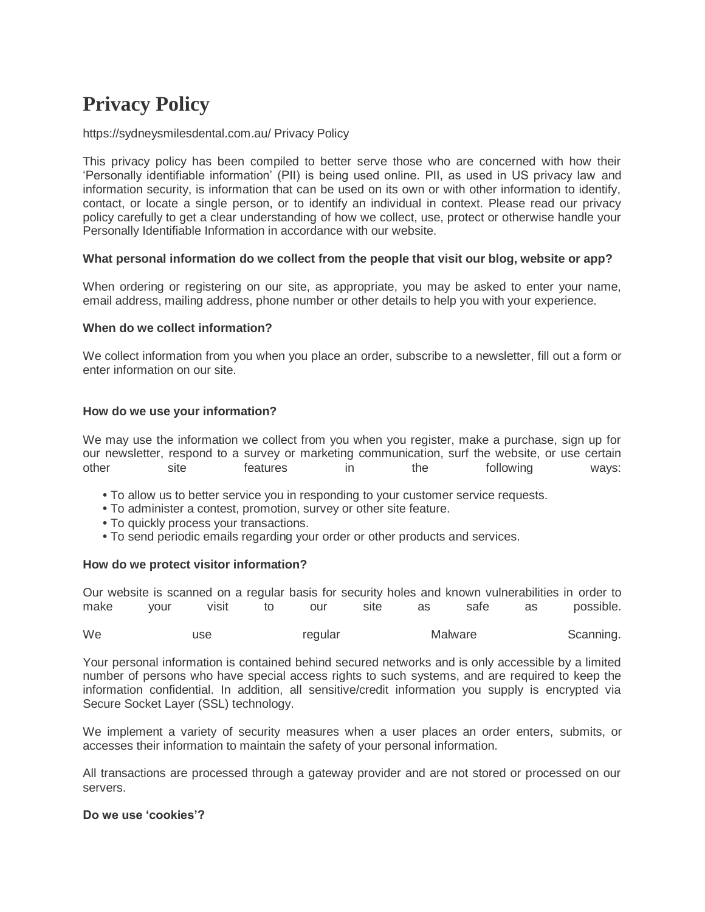# **Privacy Policy**

# https://sydneysmilesdental.com.au/ Privacy Policy

This privacy policy has been compiled to better serve those who are concerned with how their 'Personally identifiable information' (PII) is being used online. PII, as used in US privacy law and information security, is information that can be used on its own or with other information to identify, contact, or locate a single person, or to identify an individual in context. Please read our privacy policy carefully to get a clear understanding of how we collect, use, protect or otherwise handle your Personally Identifiable Information in accordance with our website.

# **What personal information do we collect from the people that visit our blog, website or app?**

When ordering or registering on our site, as appropriate, you may be asked to enter your name, email address, mailing address, phone number or other details to help you with your experience.

# **When do we collect information?**

We collect information from you when you place an order, subscribe to a newsletter, fill out a form or enter information on our site.

# **How do we use your information?**

We may use the information we collect from you when you register, make a purchase, sign up for our newsletter, respond to a survey or marketing communication, surf the website, or use certain other site features in the following ways:

- **•** To allow us to better service you in responding to your customer service requests.
- **•** To administer a contest, promotion, survey or other site feature.
- **•** To quickly process your transactions.
- **•** To send periodic emails regarding your order or other products and services.

### **How do we protect visitor information?**

Our website is scanned on a regular basis for security holes and known vulnerabilities in order to make your visit to our site as safe as possible.

We a use regular Malware Scanning.

Your personal information is contained behind secured networks and is only accessible by a limited number of persons who have special access rights to such systems, and are required to keep the information confidential. In addition, all sensitive/credit information you supply is encrypted via Secure Socket Layer (SSL) technology.

We implement a variety of security measures when a user places an order enters, submits, or accesses their information to maintain the safety of your personal information.

All transactions are processed through a gateway provider and are not stored or processed on our servers.

# **Do we use 'cookies'?**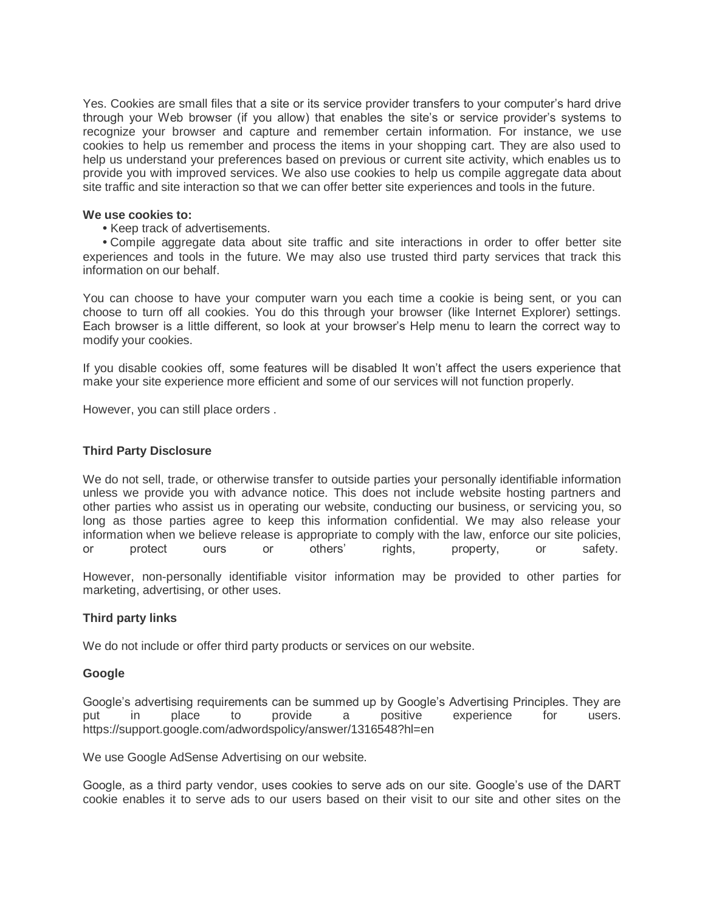Yes. Cookies are small files that a site or its service provider transfers to your computer's hard drive through your Web browser (if you allow) that enables the site's or service provider's systems to recognize your browser and capture and remember certain information. For instance, we use cookies to help us remember and process the items in your shopping cart. They are also used to help us understand your preferences based on previous or current site activity, which enables us to provide you with improved services. We also use cookies to help us compile aggregate data about site traffic and site interaction so that we can offer better site experiences and tools in the future.

# **We use cookies to:**

**•** Keep track of advertisements.

**•** Compile aggregate data about site traffic and site interactions in order to offer better site experiences and tools in the future. We may also use trusted third party services that track this information on our behalf.

You can choose to have your computer warn you each time a cookie is being sent, or you can choose to turn off all cookies. You do this through your browser (like Internet Explorer) settings. Each browser is a little different, so look at your browser's Help menu to learn the correct way to modify your cookies.

If you disable cookies off, some features will be disabled It won't affect the users experience that make your site experience more efficient and some of our services will not function properly.

However, you can still place orders .

# **Third Party Disclosure**

We do not sell, trade, or otherwise transfer to outside parties your personally identifiable information unless we provide you with advance notice. This does not include website hosting partners and other parties who assist us in operating our website, conducting our business, or servicing you, so long as those parties agree to keep this information confidential. We may also release your information when we believe release is appropriate to comply with the law, enforce our site policies, or protect ours or others' rights, property, or safety.

However, non-personally identifiable visitor information may be provided to other parties for marketing, advertising, or other uses.

### **Third party links**

We do not include or offer third party products or services on our website.

### **Google**

Google's advertising requirements can be summed up by Google's Advertising Principles. They are put in place to provide a positive experience for users. https://support.google.com/adwordspolicy/answer/1316548?hl=en

We use Google AdSense Advertising on our website.

Google, as a third party vendor, uses cookies to serve ads on our site. Google's use of the DART cookie enables it to serve ads to our users based on their visit to our site and other sites on the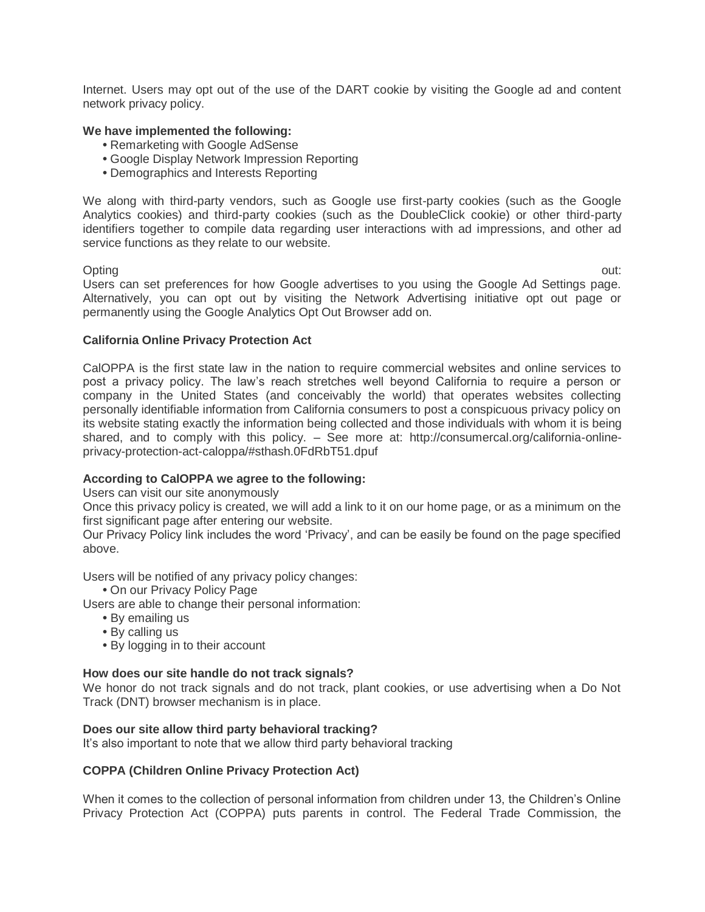Internet. Users may opt out of the use of the DART cookie by visiting the Google ad and content network privacy policy.

# **We have implemented the following:**

- **•** Remarketing with Google AdSense
- **•** Google Display Network Impression Reporting
- **•** Demographics and Interests Reporting

We along with third-party vendors, such as Google use first-party cookies (such as the Google Analytics cookies) and third-party cookies (such as the DoubleClick cookie) or other third-party identifiers together to compile data regarding user interactions with ad impressions, and other ad service functions as they relate to our website.

Opting out: Users can set preferences for how Google advertises to you using the Google Ad Settings page. Alternatively, you can opt out by visiting the Network Advertising initiative opt out page or permanently using the Google Analytics Opt Out Browser add on.

# **California Online Privacy Protection Act**

CalOPPA is the first state law in the nation to require commercial websites and online services to post a privacy policy. The law's reach stretches well beyond California to require a person or company in the United States (and conceivably the world) that operates websites collecting personally identifiable information from California consumers to post a conspicuous privacy policy on its website stating exactly the information being collected and those individuals with whom it is being shared, and to comply with this policy. – See more at: http://consumercal.org/california-onlineprivacy-protection-act-caloppa/#sthash.0FdRbT51.dpuf

# **According to CalOPPA we agree to the following:**

Users can visit our site anonymously

Once this privacy policy is created, we will add a link to it on our home page, or as a minimum on the first significant page after entering our website.

Our Privacy Policy link includes the word 'Privacy', and can be easily be found on the page specified above.

Users will be notified of any privacy policy changes:

**•** On our Privacy Policy Page

Users are able to change their personal information:

- **•** By emailing us
- **•** By calling us
- **•** By logging in to their account

# **How does our site handle do not track signals?**

We honor do not track signals and do not track, plant cookies, or use advertising when a Do Not Track (DNT) browser mechanism is in place.

### **Does our site allow third party behavioral tracking?**

It's also important to note that we allow third party behavioral tracking

### **COPPA (Children Online Privacy Protection Act)**

When it comes to the collection of personal information from children under 13, the Children's Online Privacy Protection Act (COPPA) puts parents in control. The Federal Trade Commission, the